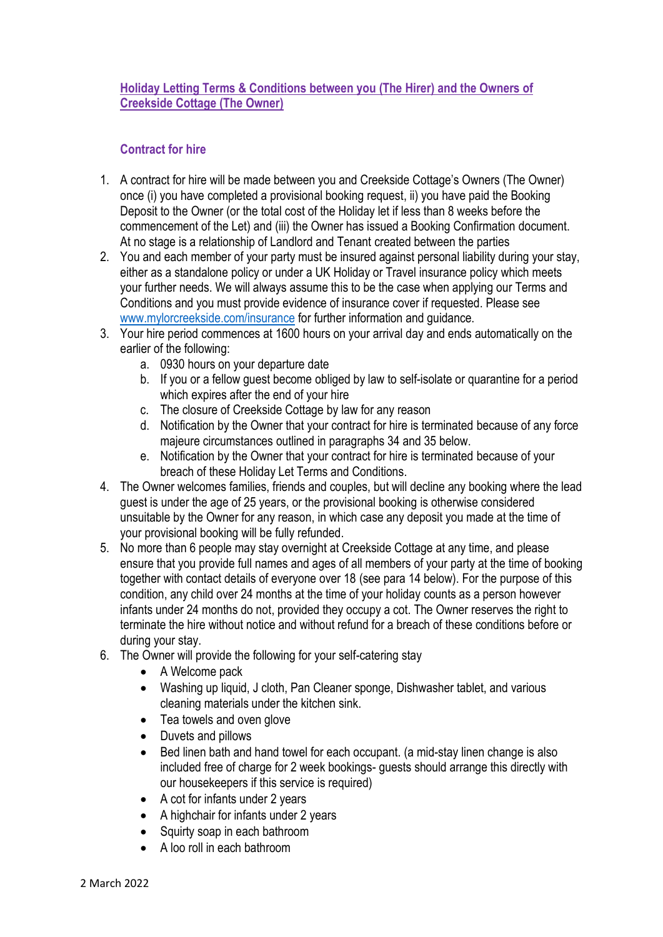# **Holiday Letting Terms & Conditions between you (The Hirer) and the Owners of Creekside Cottage (The Owner)**

# **Contract for hire**

- 1. A contract for hire will be made between you and Creekside Cottage's Owners (The Owner) once (i) you have completed a provisional booking request, ii) you have paid the Booking Deposit to the Owner (or the total cost of the Holiday let if less than 8 weeks before the commencement of the Let) and (iii) the Owner has issued a Booking Confirmation document. At no stage is a relationship of Landlord and Tenant created between the parties
- 2. You and each member of your party must be insured against personal liability during your stay, either as a standalone policy or under a UK Holiday or Travel insurance policy which meets your further needs. We will always assume this to be the case when applying our Terms and Conditions and you must provide evidence of insurance cover if requested. Please see [www.mylorcreekside.com/insurance](http://www.mylorcreekside.com/insurance) for further information and guidance.
- 3. Your hire period commences at 1600 hours on your arrival day and ends automatically on the earlier of the following:
	- a. 0930 hours on your departure date
	- b. If you or a fellow guest become obliged by law to self-isolate or quarantine for a period which expires after the end of your hire
	- c. The closure of Creekside Cottage by law for any reason
	- d. Notification by the Owner that your contract for hire is terminated because of any force majeure circumstances outlined in paragraphs 34 and 35 below.
	- e. Notification by the Owner that your contract for hire is terminated because of your breach of these Holiday Let Terms and Conditions.
- 4. The Owner welcomes families, friends and couples, but will decline any booking where the lead guest is under the age of 25 years, or the provisional booking is otherwise considered unsuitable by the Owner for any reason, in which case any deposit you made at the time of your provisional booking will be fully refunded.
- 5. No more than 6 people may stay overnight at Creekside Cottage at any time, and please ensure that you provide full names and ages of all members of your party at the time of booking together with contact details of everyone over 18 (see para 14 below). For the purpose of this condition, any child over 24 months at the time of your holiday counts as a person however infants under 24 months do not, provided they occupy a cot. The Owner reserves the right to terminate the hire without notice and without refund for a breach of these conditions before or during your stay.
- 6. The Owner will provide the following for your self-catering stay
	- A Welcome pack
	- Washing up liquid, J cloth, Pan Cleaner sponge, Dishwasher tablet, and various cleaning materials under the kitchen sink.
	- Tea towels and oven glove
	- Duvets and pillows
	- Bed linen bath and hand towel for each occupant. (a mid-stay linen change is also included free of charge for 2 week bookings- guests should arrange this directly with our housekeepers if this service is required)
	- A cot for infants under 2 years
	- A highchair for infants under 2 years
	- Squirty soap in each bathroom
	- A loo roll in each bathroom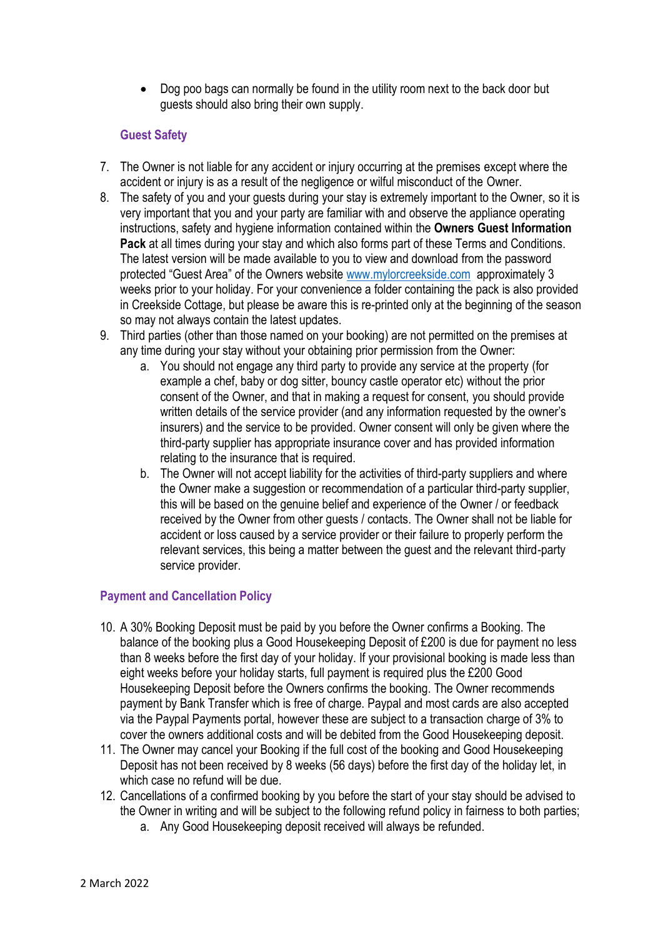• Dog poo bags can normally be found in the utility room next to the back door but guests should also bring their own supply.

# **Guest Safety**

- 7. The Owner is not liable for any accident or injury occurring at the premises except where the accident or injury is as a result of the negligence or wilful misconduct of the Owner.
- 8. The safety of you and your guests during your stay is extremely important to the Owner, so it is very important that you and your party are familiar with and observe the appliance operating instructions, safety and hygiene information contained within the **Owners Guest Information Pack** at all times during your stay and which also forms part of these Terms and Conditions. The latest version will be made available to you to view and download from the password protected "Guest Area" of the Owners website [www.mylorcreekside.com](http://www.mylorcreekside.com/) approximately 3 weeks prior to your holiday. For your convenience a folder containing the pack is also provided in Creekside Cottage, but please be aware this is re-printed only at the beginning of the season so may not always contain the latest updates.
- 9. Third parties (other than those named on your booking) are not permitted on the premises at any time during your stay without your obtaining prior permission from the Owner:
	- a. You should not engage any third party to provide any service at the property (for example a chef, baby or dog sitter, bouncy castle operator etc) without the prior consent of the Owner, and that in making a request for consent, you should provide written details of the service provider (and any information requested by the owner's insurers) and the service to be provided. Owner consent will only be given where the third-party supplier has appropriate insurance cover and has provided information relating to the insurance that is required.
	- b. The Owner will not accept liability for the activities of third-party suppliers and where the Owner make a suggestion or recommendation of a particular third-party supplier, this will be based on the genuine belief and experience of the Owner / or feedback received by the Owner from other guests / contacts. The Owner shall not be liable for accident or loss caused by a service provider or their failure to properly perform the relevant services, this being a matter between the guest and the relevant third-party service provider.

## **Payment and Cancellation Policy**

- 10. A 30% Booking Deposit must be paid by you before the Owner confirms a Booking. The balance of the booking plus a Good Housekeeping Deposit of £200 is due for payment no less than 8 weeks before the first day of your holiday. If your provisional booking is made less than eight weeks before your holiday starts, full payment is required plus the £200 Good Housekeeping Deposit before the Owners confirms the booking. The Owner recommends payment by Bank Transfer which is free of charge. Paypal and most cards are also accepted via the Paypal Payments portal, however these are subject to a transaction charge of 3% to cover the owners additional costs and will be debited from the Good Housekeeping deposit.
- 11. The Owner may cancel your Booking if the full cost of the booking and Good Housekeeping Deposit has not been received by 8 weeks (56 days) before the first day of the holiday let, in which case no refund will be due.
- 12. Cancellations of a confirmed booking by you before the start of your stay should be advised to the Owner in writing and will be subject to the following refund policy in fairness to both parties;
	- a. Any Good Housekeeping deposit received will always be refunded.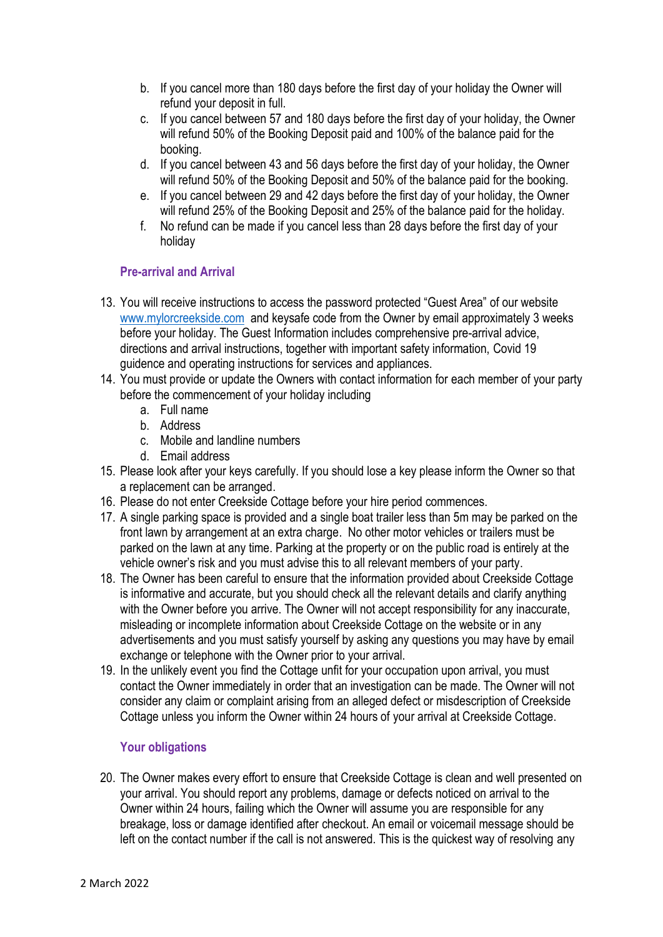- b. If you cancel more than 180 days before the first day of your holiday the Owner will refund your deposit in full.
- c. If you cancel between 57 and 180 days before the first day of your holiday, the Owner will refund 50% of the Booking Deposit paid and 100% of the balance paid for the booking.
- d. If you cancel between 43 and 56 days before the first day of your holiday, the Owner will refund 50% of the Booking Deposit and 50% of the balance paid for the booking.
- e. If you cancel between 29 and 42 days before the first day of your holiday, the Owner will refund 25% of the Booking Deposit and 25% of the balance paid for the holiday.
- f. No refund can be made if you cancel less than 28 days before the first day of your holiday

## **Pre-arrival and Arrival**

- 13. You will receive instructions to access the password protected "Guest Area" of our website [www.mylorcreekside.com](http://www.mylorcreekside.com/) and keysafe code from the Owner by email approximately 3 weeks before your holiday. The Guest Information includes comprehensive pre-arrival advice, directions and arrival instructions, together with important safety information, Covid 19 guidence and operating instructions for services and appliances.
- 14. You must provide or update the Owners with contact information for each member of your party before the commencement of your holiday including
	- a. Full name
	- b. Address
	- c. Mobile and landline numbers
	- d. Email address
- 15. Please look after your keys carefully. If you should lose a key please inform the Owner so that a replacement can be arranged.
- 16. Please do not enter Creekside Cottage before your hire period commences.
- 17. A single parking space is provided and a single boat trailer less than 5m may be parked on the front lawn by arrangement at an extra charge. No other motor vehicles or trailers must be parked on the lawn at any time. Parking at the property or on the public road is entirely at the vehicle owner's risk and you must advise this to all relevant members of your party.
- 18. The Owner has been careful to ensure that the information provided about Creekside Cottage is informative and accurate, but you should check all the relevant details and clarify anything with the Owner before you arrive. The Owner will not accept responsibility for any inaccurate, misleading or incomplete information about Creekside Cottage on the website or in any advertisements and you must satisfy yourself by asking any questions you may have by email exchange or telephone with the Owner prior to your arrival.
- 19. In the unlikely event you find the Cottage unfit for your occupation upon arrival, you must contact the Owner immediately in order that an investigation can be made. The Owner will not consider any claim or complaint arising from an alleged defect or misdescription of Creekside Cottage unless you inform the Owner within 24 hours of your arrival at Creekside Cottage.

## **Your obligations**

20. The Owner makes every effort to ensure that Creekside Cottage is clean and well presented on your arrival. You should report any problems, damage or defects noticed on arrival to the Owner within 24 hours, failing which the Owner will assume you are responsible for any breakage, loss or damage identified after checkout. An email or voicemail message should be left on the contact number if the call is not answered. This is the quickest way of resolving any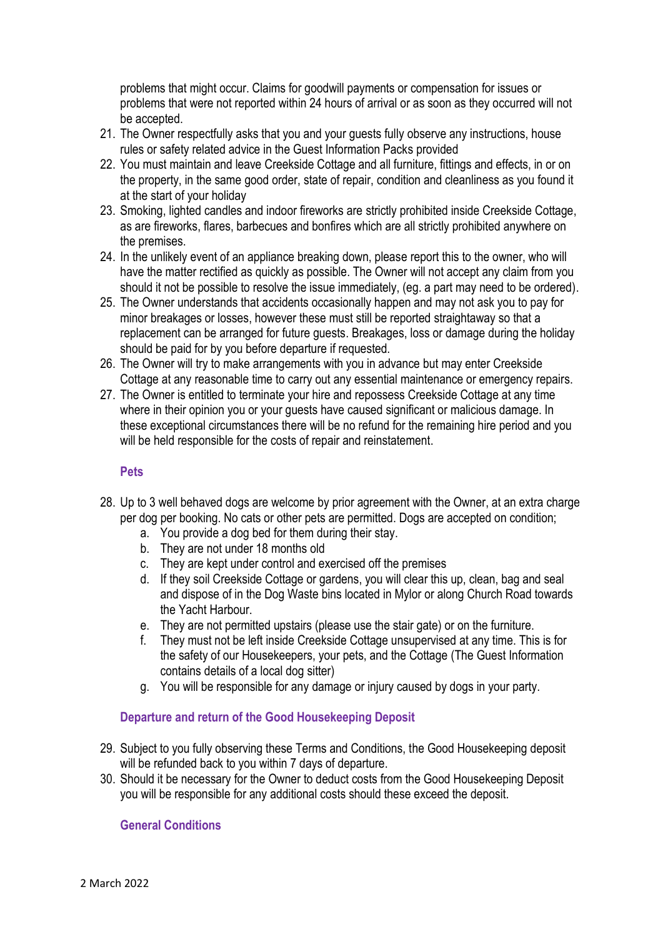problems that might occur. Claims for goodwill payments or compensation for issues or problems that were not reported within 24 hours of arrival or as soon as they occurred will not be accepted.

- 21. The Owner respectfully asks that you and your guests fully observe any instructions, house rules or safety related advice in the Guest Information Packs provided
- 22. You must maintain and leave Creekside Cottage and all furniture, fittings and effects, in or on the property, in the same good order, state of repair, condition and cleanliness as you found it at the start of your holiday
- 23. Smoking, lighted candles and indoor fireworks are strictly prohibited inside Creekside Cottage, as are fireworks, flares, barbecues and bonfires which are all strictly prohibited anywhere on the premises.
- 24. In the unlikely event of an appliance breaking down, please report this to the owner, who will have the matter rectified as quickly as possible. The Owner will not accept any claim from you should it not be possible to resolve the issue immediately, (eg. a part may need to be ordered).
- 25. The Owner understands that accidents occasionally happen and may not ask you to pay for minor breakages or losses, however these must still be reported straightaway so that a replacement can be arranged for future guests. Breakages, loss or damage during the holiday should be paid for by you before departure if requested.
- 26. The Owner will try to make arrangements with you in advance but may enter Creekside Cottage at any reasonable time to carry out any essential maintenance or emergency repairs.
- 27. The Owner is entitled to terminate your hire and repossess Creekside Cottage at any time where in their opinion you or your guests have caused significant or malicious damage. In these exceptional circumstances there will be no refund for the remaining hire period and you will be held responsible for the costs of repair and reinstatement.

#### **Pets**

- 28. Up to 3 well behaved dogs are welcome by prior agreement with the Owner, at an extra charge per dog per booking. No cats or other pets are permitted. Dogs are accepted on condition;
	- a. You provide a dog bed for them during their stay.
	- b. They are not under 18 months old
	- c. They are kept under control and exercised off the premises
	- d. If they soil Creekside Cottage or gardens, you will clear this up, clean, bag and seal and dispose of in the Dog Waste bins located in Mylor or along Church Road towards the Yacht Harbour.
	- e. They are not permitted upstairs (please use the stair gate) or on the furniture.
	- f. They must not be left inside Creekside Cottage unsupervised at any time. This is for the safety of our Housekeepers, your pets, and the Cottage (The Guest Information contains details of a local dog sitter)
	- g. You will be responsible for any damage or injury caused by dogs in your party.

## **Departure and return of the Good Housekeeping Deposit**

- 29. Subject to you fully observing these Terms and Conditions, the Good Housekeeping deposit will be refunded back to you within 7 days of departure.
- 30. Should it be necessary for the Owner to deduct costs from the Good Housekeeping Deposit you will be responsible for any additional costs should these exceed the deposit.

## **General Conditions**